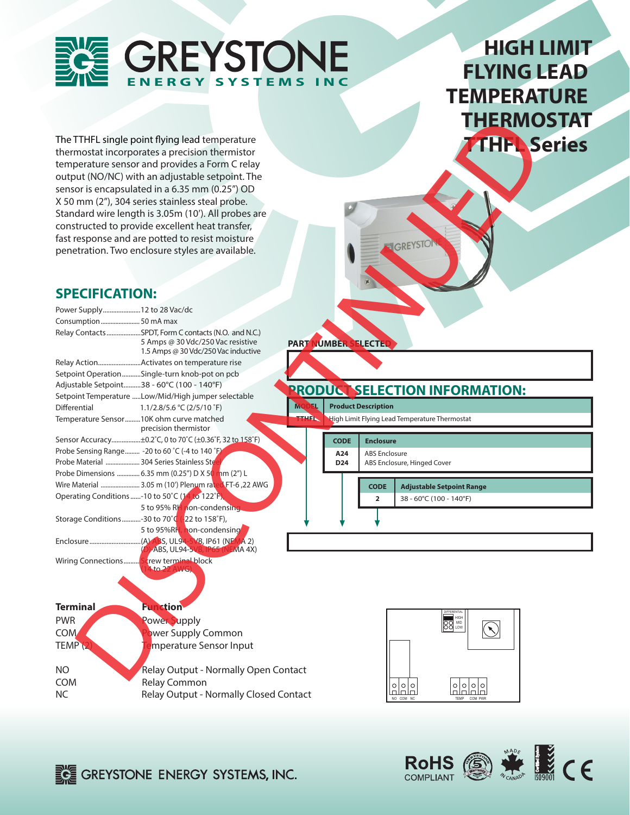# **GREYSTONE ERGY SYSTEMS**

## **HIGH LIMIT FLYING LEAD TEMPERATURE THERMOSTAT TTHFL Series**

### **SPECIFICATION:**

|                                                     |                                                                                   |              |                      |                                               | <b>THERMO</b>                         |  |
|-----------------------------------------------------|-----------------------------------------------------------------------------------|--------------|----------------------|-----------------------------------------------|---------------------------------------|--|
|                                                     | The TTHFL single point flying lead temperature                                    |              |                      |                                               |                                       |  |
|                                                     | thermostat incorporates a precision thermistor                                    |              |                      |                                               | THEL <sub>S</sub>                     |  |
|                                                     | temperature sensor and provides a Form C relay                                    |              |                      |                                               |                                       |  |
|                                                     | output (NO/NC) with an adjustable setpoint. The                                   |              |                      |                                               |                                       |  |
|                                                     | sensor is encapsulated in a 6.35 mm (0.25") OD                                    |              |                      |                                               |                                       |  |
| X 50 mm (2"), 304 series stainless steal probe.     |                                                                                   |              |                      |                                               |                                       |  |
|                                                     | Standard wire length is 3.05m (10'). All probes are                               |              |                      |                                               |                                       |  |
|                                                     | constructed to provide excellent heat transfer,                                   |              |                      |                                               |                                       |  |
|                                                     | fast response and are potted to resist moisture                                   |              |                      |                                               |                                       |  |
|                                                     | penetration. Two enclosure styles are available.                                  |              |                      | <b>IGREYSTO</b>                               |                                       |  |
|                                                     |                                                                                   |              |                      |                                               |                                       |  |
|                                                     |                                                                                   |              |                      |                                               |                                       |  |
|                                                     |                                                                                   |              |                      |                                               |                                       |  |
| <b>SPECIFICATION:</b>                               |                                                                                   |              |                      |                                               |                                       |  |
| Power Supply 12 to 28 Vac/dc                        |                                                                                   |              |                      |                                               |                                       |  |
| Consumption  50 mA max                              |                                                                                   |              |                      |                                               |                                       |  |
|                                                     | Relay Contacts SPDT, Form C contacts (N.O. and N.C.)                              |              |                      |                                               |                                       |  |
|                                                     | 5 Amps @ 30 Vdc/250 Vac resistive                                                 |              | PART NUMBER SELECTED |                                               |                                       |  |
|                                                     | 1.5 Amps @ 30 Vdc/250 Vac inductive                                               |              |                      |                                               |                                       |  |
| Relay ActionActivates on temperature rise           |                                                                                   |              |                      |                                               |                                       |  |
| Setpoint OperationSingle-turn knob-pot on pcb       |                                                                                   |              |                      |                                               |                                       |  |
| Adjustable Setpoint38 - 60°C (100 - 140°F)          |                                                                                   |              |                      |                                               | <b>PRODUCT SELECTION INFORMATION:</b> |  |
| <b>Differential</b>                                 | Setpoint Temperature Low/Mid/High jumper selectable<br>1.1/2.8/5.6 °C (2/5/10 °F) | <b>MODEL</b> |                      | <b>Product Description</b>                    |                                       |  |
| Temperature Sensor10K ohm curve matched             |                                                                                   | <b>TILLE</b> |                      | High Limit Flying Lead Temperature Thermostat |                                       |  |
|                                                     | precision thermistor                                                              |              |                      |                                               |                                       |  |
|                                                     | Sensor Accuracy±0.2°C, 0 to 70°C (±0.36°F, 32 to 158°F)                           |              | <b>CODE</b>          | <b>Enclosure</b>                              |                                       |  |
| Probe Sensing Range -20 to 60 °C (-4 to 140 °F)     |                                                                                   |              | A24                  | <b>ABS Enclosure</b>                          |                                       |  |
| Probe Material  304 Series Stainless Ste            |                                                                                   |              | D <sub>24</sub>      | ABS Enclosure, Hinged Cover                   |                                       |  |
| Probe Dimensions  6.35 mm (0.25") D X 50 nnm (2") L |                                                                                   |              |                      |                                               |                                       |  |
|                                                     | Wire Material  3.05 m (10') Plenum rated FT-6, 22 AWG                             |              |                      | <b>CODE</b>                                   | <b>Adjustable Setpoint Range</b>      |  |
| Operating Conditions -10 to 50°C (14 to 122°F),     |                                                                                   |              |                      | $\overline{2}$                                | 38 - 60°C (100 - 140°F)               |  |
|                                                     | 5 to 95% RH non-condensing                                                        |              |                      |                                               |                                       |  |
| Storage Conditions-30 to 70°C                       | $-22$ to 158°F),                                                                  |              |                      |                                               |                                       |  |
|                                                     | 5 to 95%RH, hon-condensing                                                        |              |                      |                                               |                                       |  |
|                                                     | (D)-ABS, UL94-5VB, IP65 (NEMA 4X)                                                 |              |                      |                                               |                                       |  |
| Wiring Connections Screw terminal block             |                                                                                   |              |                      |                                               |                                       |  |
|                                                     | 4to 22 AWG)                                                                       |              |                      |                                               |                                       |  |
|                                                     |                                                                                   |              |                      |                                               |                                       |  |
|                                                     |                                                                                   |              |                      |                                               |                                       |  |
|                                                     |                                                                                   |              |                      |                                               |                                       |  |
| <b>Terminal</b>                                     | <b>Function</b>                                                                   |              |                      |                                               |                                       |  |
| <b>PWR</b>                                          |                                                                                   |              |                      |                                               |                                       |  |
|                                                     | <b>Power Supply</b>                                                               |              |                      |                                               | 88                                    |  |
| <b>COM</b>                                          | ower Supply Common                                                                |              |                      |                                               |                                       |  |
| TEMP <sup>2</sup>                                   | mperature Sensor Input                                                            |              |                      |                                               |                                       |  |
| NO.                                                 | Relay Output - Normally Open Contact                                              |              |                      |                                               |                                       |  |

#### **PART NUMBER SELECTED**



NO Relay Output - Normally Open Contact COM Relay Common NC Relay Output - Normally Closed Contact